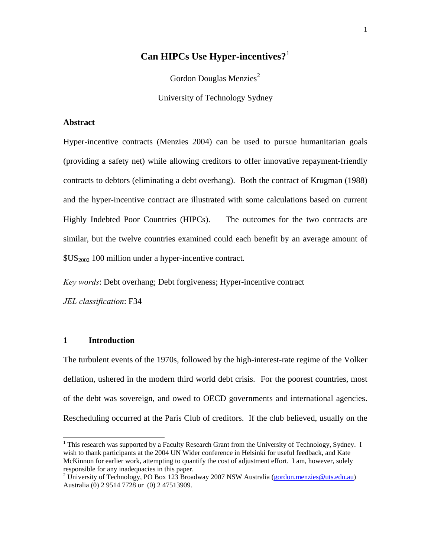## **Can HIPCs Use Hyper-incentives?**[1](#page-0-0)

Gordon Douglas Menzies<sup>[2](#page-0-1)</sup>

University of Technology Sydney

#### **Abstract**

Hyper-incentive contracts (Menzies 2004) can be used to pursue humanitarian goals (providing a safety net) while allowing creditors to offer innovative repayment-friendly contracts to debtors (eliminating a debt overhang). Both the contract of Krugman (1988) and the hyper-incentive contract are illustrated with some calculations based on current Highly Indebted Poor Countries (HIPCs). The outcomes for the two contracts are similar, but the twelve countries examined could each benefit by an average amount of  $$US<sub>2002</sub>$  100 million under a hyper-incentive contract.

*Key words*: Debt overhang; Debt forgiveness; Hyper-incentive contract

*JEL classification*: F34

#### **1 Introduction**

 $\overline{a}$ 

The turbulent events of the 1970s, followed by the high-interest-rate regime of the Volker deflation, ushered in the modern third world debt crisis. For the poorest countries, most of the debt was sovereign, and owed to OECD governments and international agencies. Rescheduling occurred at the Paris Club of creditors. If the club believed, usually on the

<span id="page-0-0"></span><sup>&</sup>lt;sup>1</sup> This research was supported by a Faculty Research Grant from the University of Technology, Sydney. I wish to thank participants at the 2004 UN Wider conference in Helsinki for useful feedback, and Kate McKinnon for earlier work, attempting to quantify the cost of adjustment effort. I am, however, solely responsible for any inadequacies in this paper.

<span id="page-0-1"></span><sup>&</sup>lt;sup>2</sup> University of Technology, PO Box 123 Broadway 2007 NSW Australia [\(gordon.menzies@uts.edu.au\)](mailto:gordon.menzies@uts.edu.au) Australia (0) 2 9514 7728 or (0) 2 47513909.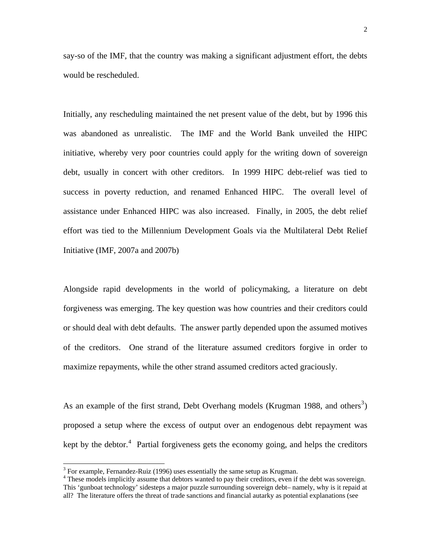say-so of the IMF, that the country was making a significant adjustment effort, the debts would be rescheduled.

Initially, any rescheduling maintained the net present value of the debt, but by 1996 this was abandoned as unrealistic. The IMF and the World Bank unveiled the HIPC initiative, whereby very poor countries could apply for the writing down of sovereign debt, usually in concert with other creditors. In 1999 HIPC debt-relief was tied to success in poverty reduction, and renamed Enhanced HIPC. The overall level of assistance under Enhanced HIPC was also increased. Finally, in 2005, the debt relief effort was tied to the Millennium Development Goals via the Multilateral Debt Relief Initiative (IMF, 2007a and 2007b)

Alongside rapid developments in the world of policymaking, a literature on debt forgiveness was emerging. The key question was how countries and their creditors could or should deal with debt defaults. The answer partly depended upon the assumed motives of the creditors. One strand of the literature assumed creditors forgive in order to maximize repayments, while the other strand assumed creditors acted graciously.

As an example of the first strand, Debt Overhang models (Krugman 1988, and others<sup>[3](#page-1-0)</sup>) proposed a setup where the excess of output over an endogenous debt repayment was kept by the debtor. $4$  Partial forgiveness gets the economy going, and helps the creditors

<span id="page-1-0"></span><sup>&</sup>lt;sup>3</sup> For example, Fernandez-Ruiz (1996) uses essentially the same setup as Krugman.  $4\text{ These models implicitly seems that doktor wanted to new their gradients, even if.}$ 

<span id="page-1-1"></span><sup>&</sup>lt;sup>4</sup> These models implicitly assume that debtors wanted to pay their creditors, even if the debt was sovereign. This 'gunboat technology' sidesteps a major puzzle surrounding sovereign debt– namely, why is it repaid at all? The literature offers the threat of trade sanctions and financial autarky as potential explanations (see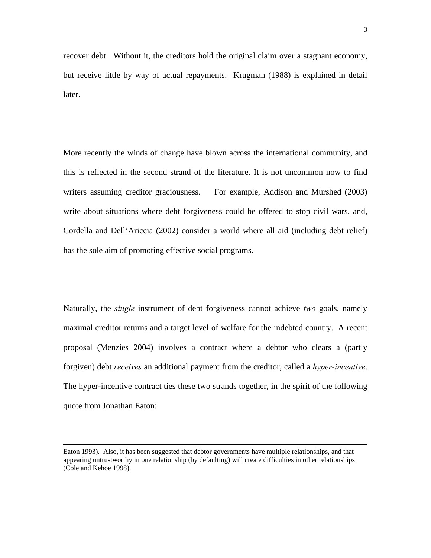recover debt. Without it, the creditors hold the original claim over a stagnant economy, but receive little by way of actual repayments. Krugman (1988) is explained in detail later.

More recently the winds of change have blown across the international community, and this is reflected in the second strand of the literature. It is not uncommon now to find writers assuming creditor graciousness. For example, Addison and Murshed (2003) write about situations where debt forgiveness could be offered to stop civil wars, and, Cordella and Dell'Ariccia (2002) consider a world where all aid (including debt relief) has the sole aim of promoting effective social programs.

Naturally, the *single* instrument of debt forgiveness cannot achieve *two* goals, namely maximal creditor returns and a target level of welfare for the indebted country. A recent proposal (Menzies 2004) involves a contract where a debtor who clears a (partly forgiven) debt *receives* an additional payment from the creditor, called a *hyper-incentive*. The hyper-incentive contract ties these two strands together, in the spirit of the following quote from Jonathan Eaton:

Eaton 1993). Also, it has been suggested that debtor governments have multiple relationships, and that appearing untrustworthy in one relationship (by defaulting) will create difficulties in other relationships (Cole and Kehoe 1998).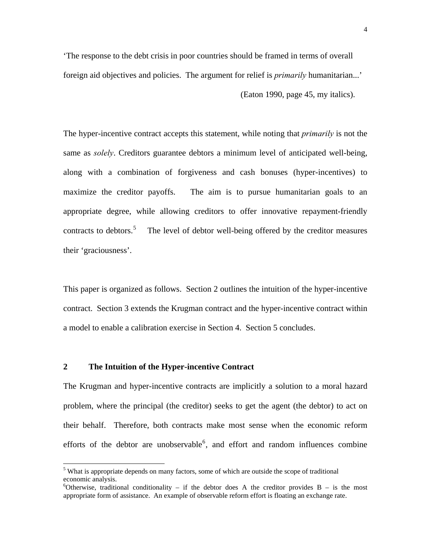'The response to the debt crisis in poor countries should be framed in terms of overall foreign aid objectives and policies. The argument for relief is *primarily* humanitarian...' (Eaton 1990, page 45, my italics).

The hyper-incentive contract accepts this statement, while noting that *primarily* is not the same as *solely*. Creditors guarantee debtors a minimum level of anticipated well-being, along with a combination of forgiveness and cash bonuses (hyper-incentives) to maximize the creditor payoffs. The aim is to pursue humanitarian goals to an appropriate degree, while allowing creditors to offer innovative repayment-friendly contracts to debtors.<sup>[5](#page-3-0)</sup> The level of debtor well-being offered by the creditor measures their 'graciousness'.

This paper is organized as follows. Section 2 outlines the intuition of the hyper-incentive contract. Section 3 extends the Krugman contract and the hyper-incentive contract within a model to enable a calibration exercise in Section 4. Section 5 concludes.

## **2 The Intuition of the Hyper-incentive Contract**

 $\overline{a}$ 

The Krugman and hyper-incentive contracts are implicitly a solution to a moral hazard problem, where the principal (the creditor) seeks to get the agent (the debtor) to act on their behalf. Therefore, both contracts make most sense when the economic reform efforts of the debtor are unobservable<sup>[6](#page-3-1)</sup>, and effort and random influences combine

<span id="page-3-0"></span><sup>&</sup>lt;sup>5</sup> What is appropriate depends on many factors, some of which are outside the scope of traditional economic analysis.

<span id="page-3-1"></span><sup>&</sup>lt;sup>6</sup>Otherwise, traditional conditionality – if the debtor does A the creditor provides  $B -$  is the most appropriate form of assistance. An example of observable reform effort is floating an exchange rate.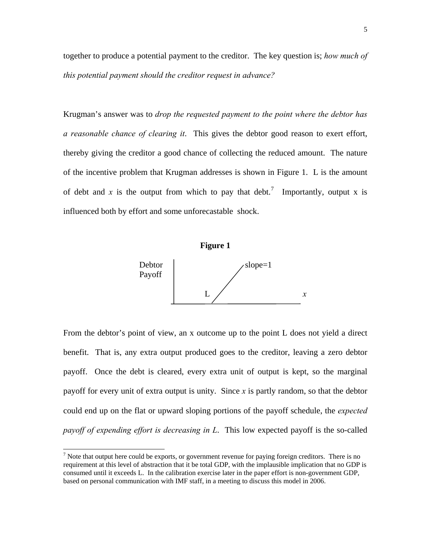together to produce a potential payment to the creditor. The key question is; *how much of this potential payment should the creditor request in advance?* 

Krugman's answer was to *drop the requested payment to the point where the debtor has a reasonable chance of clearing it*. This gives the debtor good reason to exert effort, thereby giving the creditor a good chance of collecting the reduced amount. The nature of the incentive problem that Krugman addresses is shown in Figure 1. L is the amount of debt and x is the output from which to pay that debt.<sup>[7](#page-4-0)</sup> Importantly, output x is influenced both by effort and some unforecastable shock.



From the debtor's point of view, an x outcome up to the point L does not yield a direct benefit. That is, any extra output produced goes to the creditor, leaving a zero debtor payoff. Once the debt is cleared, every extra unit of output is kept, so the marginal payoff for every unit of extra output is unity. Since *x* is partly random, so that the debtor could end up on the flat or upward sloping portions of the payoff schedule, the *expected payoff of expending effort is decreasing in L*. This low expected payoff is the so-called

<span id="page-4-0"></span> $<sup>7</sup>$  Note that output here could be exports, or government revenue for paying foreign creditors. There is no</sup> requirement at this level of abstraction that it be total GDP, with the implausible implication that no GDP is consumed until it exceeds L. In the calibration exercise later in the paper effort is non-government GDP, based on personal communication with IMF staff, in a meeting to discuss this model in 2006.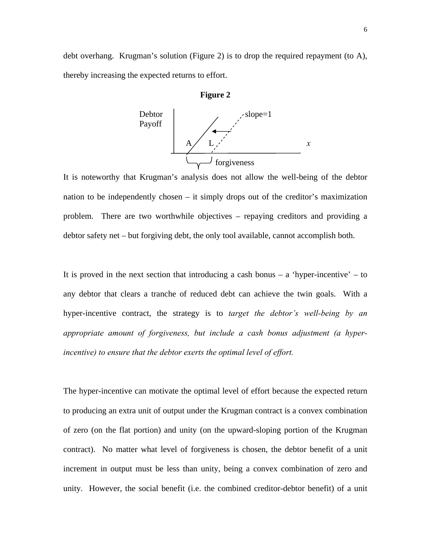debt overhang. Krugman's solution (Figure 2) is to drop the required repayment (to A), thereby increasing the expected returns to effort.





It is noteworthy that Krugman's analysis does not allow the well-being of the debtor nation to be independently chosen – it simply drops out of the creditor's maximization problem. There are two worthwhile objectives – repaying creditors and providing a debtor safety net – but forgiving debt, the only tool available, cannot accomplish both.

It is proved in the next section that introducing a cash bonus  $-$  a 'hyper-incentive'  $-$  to any debtor that clears a tranche of reduced debt can achieve the twin goals. With a hyper-incentive contract, the strategy is to *target the debtor's well-being by an appropriate amount of forgiveness, but include a cash bonus adjustment (a hyperincentive) to ensure that the debtor exerts the optimal level of effort.*

The hyper-incentive can motivate the optimal level of effort because the expected return to producing an extra unit of output under the Krugman contract is a convex combination of zero (on the flat portion) and unity (on the upward-sloping portion of the Krugman contract). No matter what level of forgiveness is chosen, the debtor benefit of a unit increment in output must be less than unity, being a convex combination of zero and unity. However, the social benefit (i.e. the combined creditor-debtor benefit) of a unit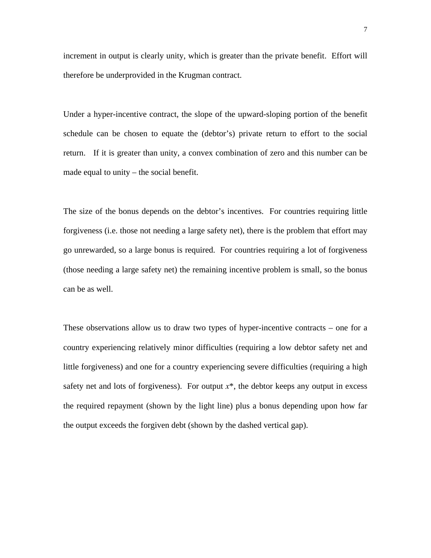increment in output is clearly unity, which is greater than the private benefit. Effort will therefore be underprovided in the Krugman contract.

Under a hyper-incentive contract, the slope of the upward-sloping portion of the benefit schedule can be chosen to equate the (debtor's) private return to effort to the social return. If it is greater than unity, a convex combination of zero and this number can be made equal to unity – the social benefit.

The size of the bonus depends on the debtor's incentives. For countries requiring little forgiveness (i.e. those not needing a large safety net), there is the problem that effort may go unrewarded, so a large bonus is required. For countries requiring a lot of forgiveness (those needing a large safety net) the remaining incentive problem is small, so the bonus can be as well.

These observations allow us to draw two types of hyper-incentive contracts – one for a country experiencing relatively minor difficulties (requiring a low debtor safety net and little forgiveness) and one for a country experiencing severe difficulties (requiring a high safety net and lots of forgiveness). For output  $x^*$ , the debtor keeps any output in excess the required repayment (shown by the light line) plus a bonus depending upon how far the output exceeds the forgiven debt (shown by the dashed vertical gap).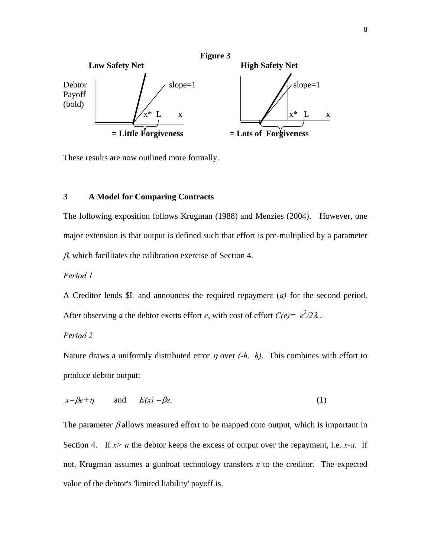

These results are now outlined more formally.

## **3 A Model for Comparing Contracts**

The following exposition follows Krugman (1988) and Menzies (2004). However, one major extension is that output is defined such that effort is pre-multiplied by a parameter  $\beta$ , which facilitates the calibration exercise of Section 4.

## *Period 1*

A Creditor lends \$L and announces the required repayment (*a)* for the second period. After observing *a* the debtor exerts effort *e*, with cost of effort  $C(e) = e^2/2\lambda$ .

## *Period 2*

Nature draws a uniformly distributed error <sup>η</sup> over *(-h*, *h)*. This combines with effort to produce debtor output:

$$
x=\beta e+\eta \qquad \text{and} \qquad E(x)=\beta e. \tag{1}
$$

The parameter  $\beta$  allows measured effort to be mapped onto output, which is important in Section 4. If *x> a* the debtor keeps the excess of output over the repayment, i.e. *x-a*. If not, Krugman assumes a gunboat technology transfers *x* to the creditor. The expected value of the debtor's 'limited liability' payoff is.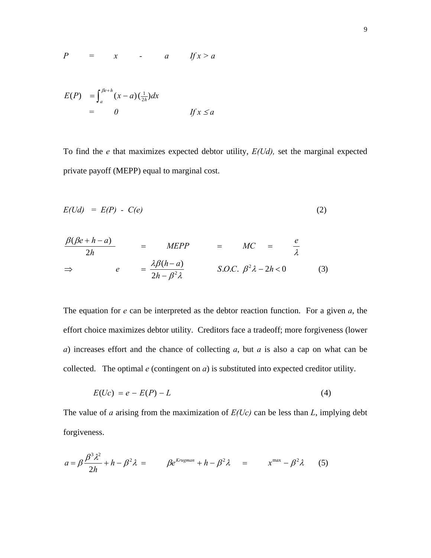$$
P = x - a \quad \text{if } x > a
$$

∫ + −= *he <sup>a</sup> <sup>h</sup> PE dxax* <sup>β</sup> )()()( <sup>2</sup> 1  *= 0 If x* ≤ *a* 

To find the *e* that maximizes expected debtor utility, *E(Ud),* set the marginal expected private payoff (MEPP) equal to marginal cost.

$$
E(Ud) = E(P) - C(e) \tag{2}
$$

$$
\frac{\beta(\beta e + h - a)}{2h} = M E P P = MC = \frac{e}{\lambda}
$$
  
\n
$$
\Rightarrow e = \frac{\lambda \beta (h - a)}{2h - \beta^2 \lambda} \qquad S.O.C. \beta^2 \lambda - 2h < 0 \qquad (3)
$$

The equation for *e* can be interpreted as the debtor reaction function. For a given *a*, the effort choice maximizes debtor utility. Creditors face a tradeoff; more forgiveness (lower *a*) increases effort and the chance of collecting *a*, but *a* is also a cap on what can be collected. The optimal *e* (contingent on *a*) is substituted into expected creditor utility.

$$
E(Uc) = e - E(P) - L \tag{4}
$$

The value of *a* arising from the maximization of *E(Uc)* can be less than *L*, implying debt forgiveness.

$$
a = \beta \frac{\beta^3 \lambda^2}{2h} + h - \beta^2 \lambda = \beta e^{Krugman} + h - \beta^2 \lambda = x^{max} - \beta^2 \lambda
$$
 (5)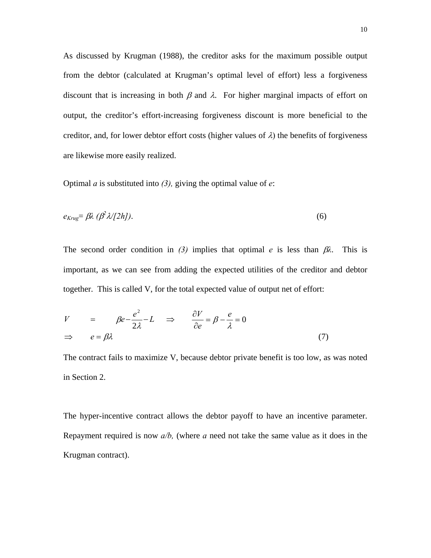As discussed by Krugman (1988), the creditor asks for the maximum possible output from the debtor (calculated at Krugman's optimal level of effort) less a forgiveness discount that is increasing in both  $\beta$  and  $\lambda$ . For higher marginal impacts of effort on output, the creditor's effort-increasing forgiveness discount is more beneficial to the creditor, and, for lower debtor effort costs (higher values of  $\lambda$ ) the benefits of forgiveness are likewise more easily realized.

Optimal *a* is substituted into *(3),* giving the optimal value of *e*:

$$
e_{Krug} = \beta \lambda \left( \beta^2 \lambda / [2h] \right). \tag{6}
$$

The second order condition in *(3)* implies that optimal *e* is less than  $\beta \lambda$ . This is important, as we can see from adding the expected utilities of the creditor and debtor together. This is called V, for the total expected value of output net of effort:

$$
V = \beta e - \frac{e^2}{2\lambda} - L \implies \frac{\partial V}{\partial e} = \beta - \frac{e}{\lambda} = 0
$$
  

$$
\implies e = \beta \lambda
$$
 (7)

The contract fails to maximize V, because debtor private benefit is too low, as was noted in Section 2.

The hyper-incentive contract allows the debtor payoff to have an incentive parameter. Repayment required is now *a/b,* (where *a* need not take the same value as it does in the Krugman contract).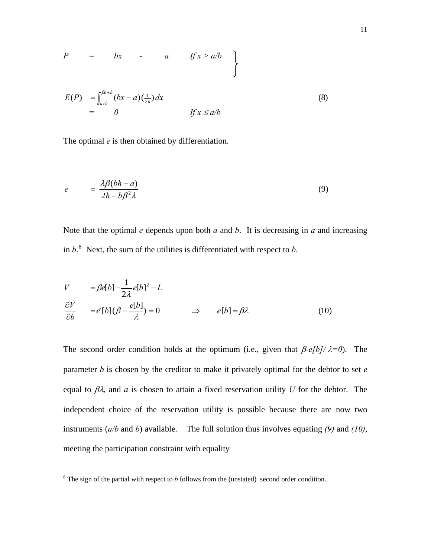$$
P = bx - a \quad \text{If } x > a/b
$$

$$
E(P) = \int_{a/b}^{\beta e+h} (bx - a) \left(\frac{1}{2h}\right) dx
$$
  
= 0 \t\t\t If  $x \le a/b$ 

The optimal *e* is then obtained by differentiation.

$$
e = \frac{\lambda \beta (bh - a)}{2h - b\beta^2 \lambda} \tag{9}
$$

Note that the optimal  $e$  depends upon both  $a$  and  $b$ . It is decreasing in  $a$  and increasing in  $b$ <sup>[8](#page-10-0)</sup>. Next, the sum of the utilities is differentiated with respect to  $b$ .

$$
V = \beta e[b] - \frac{1}{2\lambda} e[b]^2 - L
$$
  
\n
$$
\frac{\partial V}{\partial b} = e'[b](\beta - \frac{e[b]}{\lambda}) = 0 \qquad \Rightarrow \qquad e[b] = \beta \lambda \tag{10}
$$

The second order condition holds at the optimum (i.e., given that β*-e[b]/* λ*=0*). The parameter *b* is chosen by the creditor to make it privately optimal for the debtor to set *e* equal to  $\beta \lambda$ , and *a* is chosen to attain a fixed reservation utility *U* for the debtor. The independent choice of the reservation utility is possible because there are now two instruments (*a/b* and *b*) available. The full solution thus involves equating *(9)* and *(10)*, meeting the participation constraint with equality

<span id="page-10-0"></span> $8 \text{ The sign of the partial with respect to } b \text{ follows from the (unstated) second order condition.}$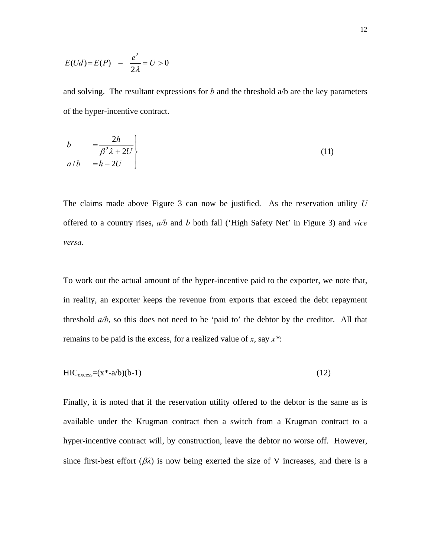$$
E(Ud) = E(P) - \frac{e^2}{2\lambda} = U > 0
$$

and solving. The resultant expressions for *b* and the threshold a/b are the key parameters of the hyper-incentive contract.

$$
b = \frac{2h}{\beta^2 \lambda + 2U}
$$
  
\n
$$
a/b = h - 2U
$$
\n(11)

The claims made above Figure 3 can now be justified. As the reservation utility *U* offered to a country rises, *a/b* and *b* both fall ('High Safety Net' in Figure 3) and *vice versa*.

To work out the actual amount of the hyper-incentive paid to the exporter, we note that, in reality, an exporter keeps the revenue from exports that exceed the debt repayment threshold *a/b*, so this does not need to be 'paid to' the debtor by the creditor. All that remains to be paid is the excess, for a realized value of *x*, say *x\**:

$$
HIC_{excess} = (x^* - a/b)(b-1)
$$
 (12)

Finally, it is noted that if the reservation utility offered to the debtor is the same as is available under the Krugman contract then a switch from a Krugman contract to a hyper-incentive contract will, by construction, leave the debtor no worse off. However, since first-best effort  $(\beta \lambda)$  is now being exerted the size of V increases, and there is a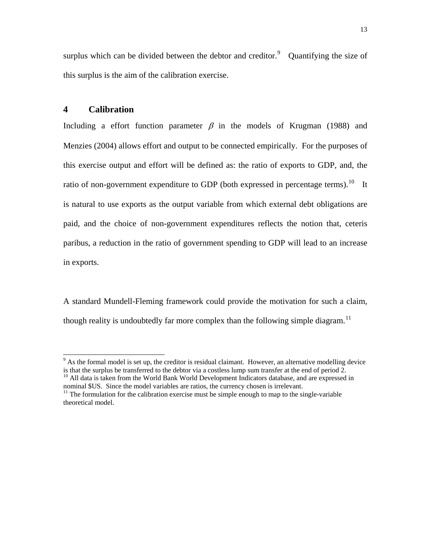surplus which can be divided between the debtor and creditor. $9$  Quantifying the size of this surplus is the aim of the calibration exercise.

## **4 Calibration**

Including a effort function parameter  $\beta$  in the models of Krugman (1988) and Menzies (2004) allows effort and output to be connected empirically. For the purposes of this exercise output and effort will be defined as: the ratio of exports to GDP, and, the ratio of non-government expenditure to GDP (both expressed in percentage terms).<sup>[10](#page-12-1)</sup> It is natural to use exports as the output variable from which external debt obligations are paid, and the choice of non-government expenditures reflects the notion that, ceteris paribus, a reduction in the ratio of government spending to GDP will lead to an increase in exports.

A standard Mundell-Fleming framework could provide the motivation for such a claim, though reality is undoubtedly far more complex than the following simple diagram.<sup>[11](#page-12-2)</sup>

<span id="page-12-0"></span><sup>&</sup>lt;sup>9</sup> As the formal model is set up, the creditor is residual claimant. However, an alternative modelling device is that the surplus be transferred to the debtor via a costless lump sum transfer at the end of period  $\frac{2}{10}$ .<br><sup>10</sup> All data is taken from the World Bank World Development Indicators database, and are expressed in

<span id="page-12-1"></span>nominal \$US. Since the model variables are ratios, the currency chosen is irrelevant.

<span id="page-12-2"></span> $11$  The formulation for the calibration exercise must be simple enough to map to the single-variable theoretical model.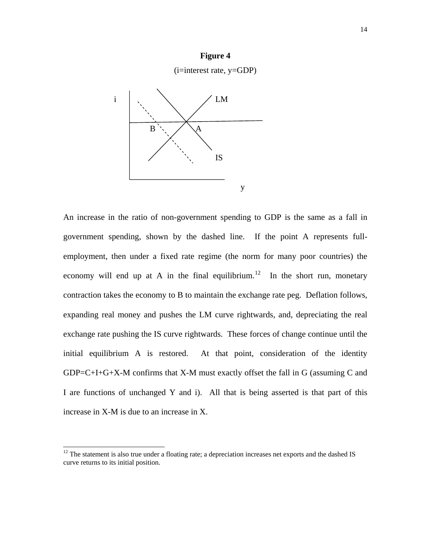

An increase in the ratio of non-government spending to GDP is the same as a fall in government spending, shown by the dashed line. If the point A represents fullemployment, then under a fixed rate regime (the norm for many poor countries) the economy will end up at A in the final equilibrium.<sup>[12](#page-13-0)</sup> In the short run, monetary contraction takes the economy to B to maintain the exchange rate peg. Deflation follows, expanding real money and pushes the LM curve rightwards, and, depreciating the real exchange rate pushing the IS curve rightwards. These forces of change continue until the initial equilibrium A is restored. At that point, consideration of the identity GDP=C+I+G+X-M confirms that X-M must exactly offset the fall in G (assuming C and I are functions of unchanged Y and i). All that is being asserted is that part of this increase in X-M is due to an increase in X.

 $\overline{a}$ 

## **Figure 4**

<span id="page-13-0"></span> $12$  The statement is also true under a floating rate; a depreciation increases net exports and the dashed IS curve returns to its initial position.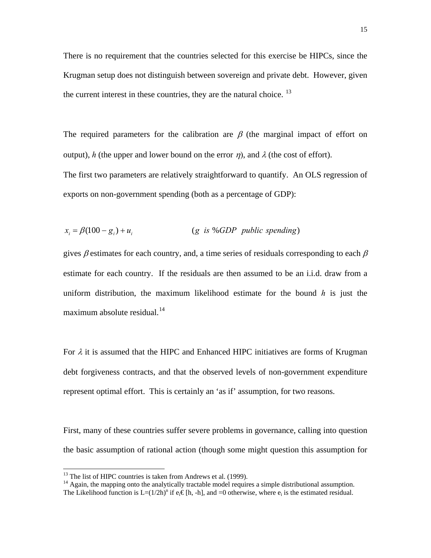There is no requirement that the countries selected for this exercise be HIPCs, since the Krugman setup does not distinguish between sovereign and private debt. However, given the current interest in these countries, they are the natural choice.  $^{13}$  $^{13}$  $^{13}$ 

The required parameters for the calibration are  $\beta$  (the marginal impact of effort on output), *h* (the upper and lower bound on the error  $\eta$ ), and  $\lambda$  (the cost of effort). The first two parameters are relatively straightforward to quantify. An OLS regression of exports on non-government spending (both as a percentage of GDP):

$$
x_i = \beta(100 - g_i) + u_i \qquad (g \text{ is \%} GDP \text{ public spending})
$$

gives  $\beta$  estimates for each country, and, a time series of residuals corresponding to each  $\beta$ estimate for each country. If the residuals are then assumed to be an i.i.d. draw from a uniform distribution, the maximum likelihood estimate for the bound *h* is just the maximum absolute residual. $^{14}$  $^{14}$  $^{14}$ 

For  $\lambda$  it is assumed that the HIPC and Enhanced HIPC initiatives are forms of Krugman debt forgiveness contracts, and that the observed levels of non-government expenditure represent optimal effort. This is certainly an 'as if' assumption, for two reasons.

First, many of these countries suffer severe problems in governance, calling into question the basic assumption of rational action (though some might question this assumption for

 $13$  The list of HIPC countries is taken from Andrews et al. (1999).

<span id="page-14-1"></span><span id="page-14-0"></span><sup>&</sup>lt;sup>14</sup> Again, the mapping onto the analytically tractable model requires a simple distributional assumption.

The Likelihood function is  $L=(1/2h)^n$  if  $e_i \in [h, -h]$ , and =0 otherwise, where  $e_i$  is the estimated residual.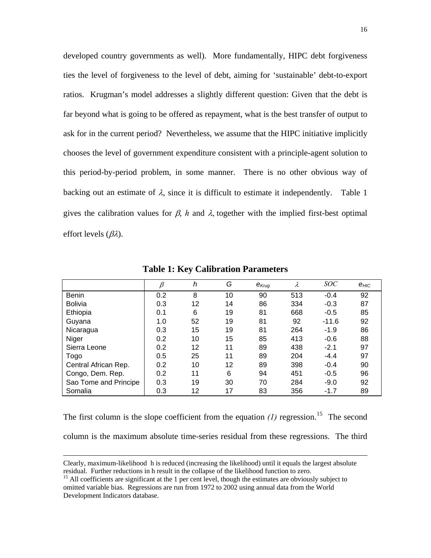developed country governments as well). More fundamentally, HIPC debt forgiveness ties the level of forgiveness to the level of debt, aiming for 'sustainable' debt-to-export ratios. Krugman's model addresses a slightly different question: Given that the debt is far beyond what is going to be offered as repayment, what is the best transfer of output to ask for in the current period? Nevertheless, we assume that the HIPC initiative implicitly chooses the level of government expenditure consistent with a principle-agent solution to this period-by-period problem, in some manner. There is no other obvious way of backing out an estimate of  $\lambda$ , since it is difficult to estimate it independently. Table 1 gives the calibration values for  $\beta$ , *h* and  $\lambda$ , together with the implied first-best optimal effort levels  $(\beta \lambda)$ .

|                       |     | h               | G  | $e_{\mathsf{Krug}}$ | λ   | <i>SOC</i> | $e$ <sub>HIC</sub> |
|-----------------------|-----|-----------------|----|---------------------|-----|------------|--------------------|
| Benin                 | 0.2 | 8               | 10 | 90                  | 513 | $-0.4$     | 92                 |
| <b>Bolivia</b>        | 0.3 | 12              | 14 | 86                  | 334 | $-0.3$     | 87                 |
| Ethiopia              | 0.1 | 6               | 19 | 81                  | 668 | $-0.5$     | 85                 |
| Guyana                | 1.0 | 52              | 19 | 81                  | 92  | $-11.6$    | 92                 |
| Nicaragua             | 0.3 | 15              | 19 | 81                  | 264 | $-1.9$     | 86                 |
| Niger                 | 0.2 | 10              | 15 | 85                  | 413 | $-0.6$     | 88                 |
| Sierra Leone          | 0.2 | 12              | 11 | 89                  | 438 | $-2.1$     | 97                 |
| Togo                  | 0.5 | 25              | 11 | 89                  | 204 | $-4.4$     | 97                 |
| Central African Rep.  | 0.2 | 10              | 12 | 89                  | 398 | $-0.4$     | 90                 |
| Congo, Dem. Rep.      | 0.2 | 11              | 6  | 94                  | 451 | $-0.5$     | 96                 |
| Sao Tome and Principe | 0.3 | 19              | 30 | 70                  | 284 | $-9.0$     | 92                 |
| Somalia               | 0.3 | 12 <sup>2</sup> | 17 | 83                  | 356 | $-1.7$     | 89                 |

**Table 1: Key Calibration Parameters** 

The first column is the slope coefficient from the equation  $(1)$  regression.<sup>[15](#page-15-0)</sup> The second

column is the maximum absolute time-series residual from these regressions. The third

Clearly, maximum-likelihood h is reduced (increasing the likelihood) until it equals the largest absolute residual. Further reductions in h result in the collapse of the likelihood function to zero.

<span id="page-15-0"></span><sup>&</sup>lt;sup>15</sup> All coefficients are significant at the 1 per cent level, though the estimates are obviously subject to omitted variable bias. Regressions are run from 1972 to 2002 using annual data from the World Development Indicators database.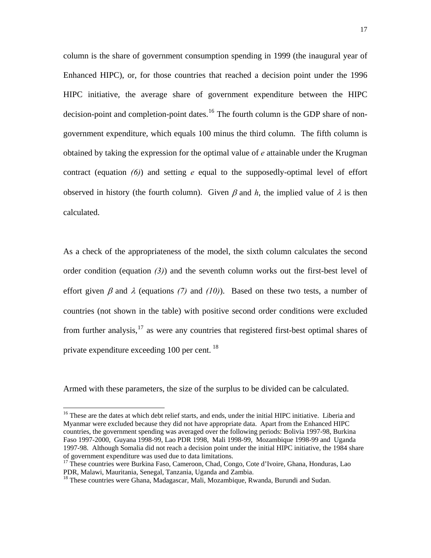column is the share of government consumption spending in 1999 (the inaugural year of Enhanced HIPC), or, for those countries that reached a decision point under the 1996 HIPC initiative, the average share of government expenditure between the HIPC decision-point and completion-point dates.<sup>[16](#page-16-0)</sup> The fourth column is the GDP share of nongovernment expenditure, which equals 100 minus the third column. The fifth column is obtained by taking the expression for the optimal value of *e* attainable under the Krugman contract (equation *(6)*) and setting *e* equal to the supposedly-optimal level of effort observed in history (the fourth column). Given  $\beta$  and  $h$ , the implied value of  $\lambda$  is then calculated.

As a check of the appropriateness of the model, the sixth column calculates the second order condition (equation *(3)*) and the seventh column works out the first-best level of effort given  $\beta$  and  $\lambda$  (equations (7) and (10)). Based on these two tests, a number of countries (not shown in the table) with positive second order conditions were excluded from further analysis, $^{17}$  $^{17}$  $^{17}$  as were any countries that registered first-best optimal shares of private expenditure exceeding 100 per cent.<sup>[18](#page-16-2)</sup>

Armed with these parameters, the size of the surplus to be divided can be calculated.

<span id="page-16-0"></span><sup>&</sup>lt;sup>16</sup> These are the dates at which debt relief starts, and ends, under the initial HIPC initiative. Liberia and Myanmar were excluded because they did not have appropriate data. Apart from the Enhanced HIPC countries, the government spending was averaged over the following periods: Bolivia 1997-98, Burkina Faso 1997-2000, Guyana 1998-99, Lao PDR 1998, Mali 1998-99, Mozambique 1998-99 and Uganda 1997-98. Although Somalia did not reach a decision point under the initial HIPC initiative, the 1984 share of government expenditure was used due to data limitations.

<span id="page-16-1"></span><sup>&</sup>lt;sup>17</sup> These countries were Burkina Faso, Cameroon, Chad, Congo, Cote d'Ivoire, Ghana, Honduras, Lao PDR, Malawi, Mauritania, Senegal, Tanzania, Uganda and Zambia.

<span id="page-16-2"></span><sup>&</sup>lt;sup>18</sup> These countries were Ghana, Madagascar, Mali, Mozambique, Rwanda, Burundi and Sudan.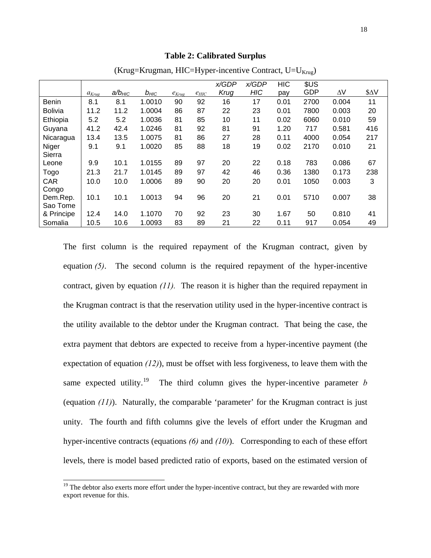#### **Table 2: Calibrated Surplus**

|                |            |             |           |            |           | x/GDP | x/GDP      | <b>HIC</b> | \$US       |            |      |
|----------------|------------|-------------|-----------|------------|-----------|-------|------------|------------|------------|------------|------|
|                |            |             |           |            |           |       |            |            |            |            |      |
|                | $a_{Krug}$ | $a/b_{HIC}$ | $b_{HIC}$ | $e_{Krug}$ | $e_{HIC}$ | Krug  | <b>HIC</b> | pay        | <b>GDP</b> | $\Delta V$ | \$ΔV |
| <b>Benin</b>   | 8.1        | 8.1         | 1.0010    | 90         | 92        | 16    | 17         | 0.01       | 2700       | 0.004      | 11   |
| <b>Bolivia</b> | 11.2       | 11.2        | 1.0004    | 86         | 87        | 22    | 23         | 0.01       | 7800       | 0.003      | 20   |
| Ethiopia       | 5.2        | 5.2         | 1.0036    | 81         | 85        | 10    | 11         | 0.02       | 6060       | 0.010      | 59   |
| Guyana         | 41.2       | 42.4        | 1.0246    | 81         | 92        | 81    | 91         | 1.20       | 717        | 0.581      | 416  |
| Nicaragua      | 13.4       | 13.5        | 1.0075    | 81         | 86        | 27    | 28         | 0.11       | 4000       | 0.054      | 217  |
| Niger          | 9.1        | 9.1         | 1.0020    | 85         | 88        | 18    | 19         | 0.02       | 2170       | 0.010      | 21   |
| Sierra         |            |             |           |            |           |       |            |            |            |            |      |
| Leone          | 9.9        | 10.1        | 1.0155    | 89         | 97        | 20    | 22         | 0.18       | 783        | 0.086      | 67   |
| Togo           | 21.3       | 21.7        | 1.0145    | 89         | 97        | 42    | 46         | 0.36       | 1380       | 0.173      | 238  |
| <b>CAR</b>     | 10.0       | 10.0        | 1.0006    | 89         | 90        | 20    | 20         | 0.01       | 1050       | 0.003      | 3    |
| Congo          |            |             |           |            |           |       |            |            |            |            |      |
| Dem.Rep.       | 10.1       | 10.1        | 1.0013    | 94         | 96        | 20    | 21         | 0.01       | 5710       | 0.007      | 38   |
| Sao Tome       |            |             |           |            |           |       |            |            |            |            |      |
| & Principe     | 12.4       | 14.0        | 1.1070    | 70         | 92        | 23    | 30         | 1.67       | 50         | 0.810      | 41   |
| Somalia        | 10.5       | 10.6        | 1.0093    | 83         | 89        | 21    | 22         | 0.11       | 917        | 0.054      | 49   |

(Krug=Krugman, HIC=Hyper-incentive Contract,  $U=U_{Kruq}$ )

The first column is the required repayment of the Krugman contract, given by equation *(5)*. The second column is the required repayment of the hyper-incentive contract, given by equation *(11).* The reason it is higher than the required repayment in the Krugman contract is that the reservation utility used in the hyper-incentive contract is the utility available to the debtor under the Krugman contract. That being the case, the extra payment that debtors are expected to receive from a hyper-incentive payment (the expectation of equation *(12)*), must be offset with less forgiveness, to leave them with the same expected utility.<sup>[19](#page-17-0)</sup> The third column gives the hyper-incentive parameter *b* (equation *(11)*). Naturally, the comparable 'parameter' for the Krugman contract is just unity. The fourth and fifth columns give the levels of effort under the Krugman and hyper-incentive contracts (equations *(6)* and *(10)*). Corresponding to each of these effort levels, there is model based predicted ratio of exports, based on the estimated version of

<span id="page-17-0"></span><sup>&</sup>lt;sup>19</sup> The debtor also exerts more effort under the hyper-incentive contract, but they are rewarded with more export revenue for this.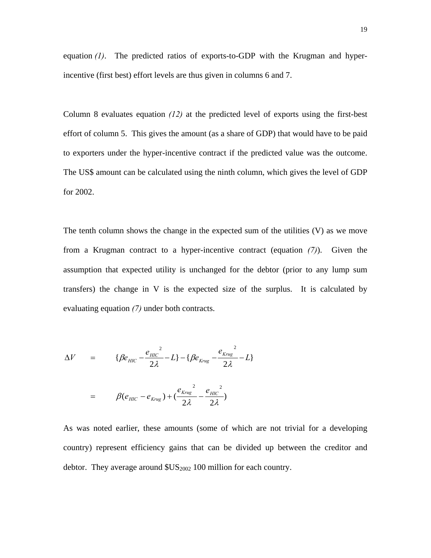equation *(1)*. The predicted ratios of exports-to-GDP with the Krugman and hyperincentive (first best) effort levels are thus given in columns 6 and 7.

Column 8 evaluates equation *(12)* at the predicted level of exports using the first-best effort of column 5. This gives the amount (as a share of GDP) that would have to be paid to exporters under the hyper-incentive contract if the predicted value was the outcome. The US\$ amount can be calculated using the ninth column, which gives the level of GDP for 2002.

The tenth column shows the change in the expected sum of the utilities (V) as we move from a Krugman contract to a hyper-incentive contract (equation *(7)*). Given the assumption that expected utility is unchanged for the debtor (prior to any lump sum transfers) the change in V is the expected size of the surplus. It is calculated by evaluating equation *(7)* under both contracts.

$$
\Delta V = \{\beta e_{HIC} - \frac{e_{HIC}^2}{2\lambda} - L\} - \{\beta e_{Krug} - \frac{e_{Krug}^2}{2\lambda} - L\}
$$
  
=  $\beta (e_{HIC} - e_{Krug}) + (\frac{e_{Krug}^2}{2\lambda} - \frac{e_{HIC}^2}{2\lambda})$ 

As was noted earlier, these amounts (some of which are not trivial for a developing country) represent efficiency gains that can be divided up between the creditor and debtor. They average around  $\mathcal{S}US_{2002}$  100 million for each country.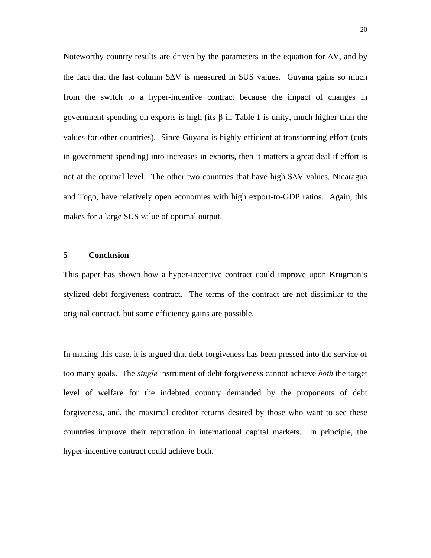Noteworthy country results are driven by the parameters in the equation for  $\Delta V$ , and by the fact that the last column  $\Delta V$  is measured in  $SUS$  values. Guyana gains so much from the switch to a hyper-incentive contract because the impact of changes in government spending on exports is high (its β in Table 1 is unity, much higher than the values for other countries). Since Guyana is highly efficient at transforming effort (cuts in government spending) into increases in exports, then it matters a great deal if effort is not at the optimal level. The other two countries that have high \$ΔV values, Nicaragua and Togo, have relatively open economies with high export-to-GDP ratios. Again, this makes for a large \$US value of optimal output.

### **5 Conclusion**

This paper has shown how a hyper-incentive contract could improve upon Krugman's stylized debt forgiveness contract. The terms of the contract are not dissimilar to the original contract, but some efficiency gains are possible.

In making this case, it is argued that debt forgiveness has been pressed into the service of too many goals. The *single* instrument of debt forgiveness cannot achieve *both* the target level of welfare for the indebted country demanded by the proponents of debt forgiveness, and, the maximal creditor returns desired by those who want to see these countries improve their reputation in international capital markets. In principle, the hyper-incentive contract could achieve both.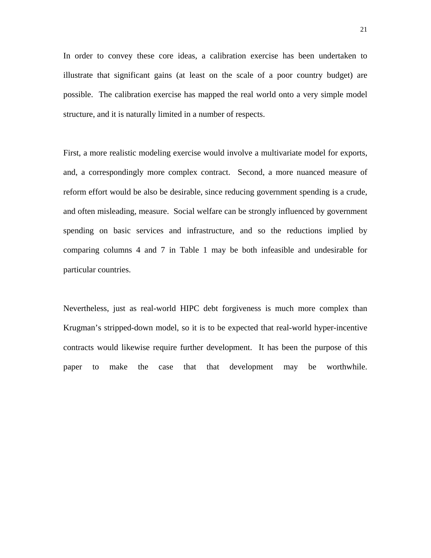In order to convey these core ideas, a calibration exercise has been undertaken to illustrate that significant gains (at least on the scale of a poor country budget) are possible. The calibration exercise has mapped the real world onto a very simple model structure, and it is naturally limited in a number of respects.

First, a more realistic modeling exercise would involve a multivariate model for exports, and, a correspondingly more complex contract. Second, a more nuanced measure of reform effort would be also be desirable, since reducing government spending is a crude, and often misleading, measure. Social welfare can be strongly influenced by government spending on basic services and infrastructure, and so the reductions implied by comparing columns 4 and 7 in Table 1 may be both infeasible and undesirable for particular countries.

Nevertheless, just as real-world HIPC debt forgiveness is much more complex than Krugman's stripped-down model, so it is to be expected that real-world hyper-incentive contracts would likewise require further development. It has been the purpose of this paper to make the case that that development may be worthwhile.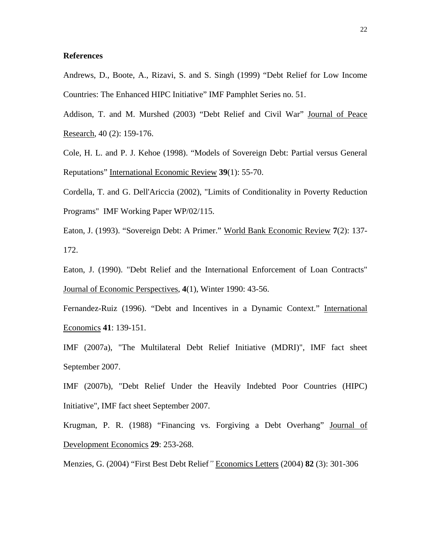### **References**

Andrews, D., Boote, A., Rizavi, S. and S. Singh (1999) "Debt Relief for Low Income Countries: The Enhanced HIPC Initiative" IMF Pamphlet Series no. 51.

Addison, T. and M. Murshed (2003) "Debt Relief and Civil War" Journal of Peace Research, 40 (2): 159-176.

Cole, H. L. and P. J. Kehoe (1998). "Models of Sovereign Debt: Partial versus General Reputations" International Economic Review **39**(1): 55-70.

Cordella, T. and G. Dell'Ariccia (2002), "Limits of Conditionality in Poverty Reduction Programs" IMF Working Paper WP/02/115.

Eaton, J. (1993). "Sovereign Debt: A Primer." World Bank Economic Review **7**(2): 137- 172.

Eaton, J. (1990). "Debt Relief and the International Enforcement of Loan Contracts" Journal of Economic Perspectives, **4**(1), Winter 1990: 43-56.

Fernandez-Ruiz (1996). "Debt and Incentives in a Dynamic Context." International Economics **41**: 139-151.

IMF (2007a), "The Multilateral Debt Relief Initiative (MDRI)", IMF fact sheet September 2007.

IMF (2007b), "Debt Relief Under the Heavily Indebted Poor Countries (HIPC) Initiative", IMF fact sheet September 2007.

Krugman, P. R. (1988) "Financing vs. Forgiving a Debt Overhang" Journal of Development Economics **29**: 253-268.

Menzies, G. (2004) "First Best Debt Relief*"* Economics Letters (2004) **82** (3): 301-306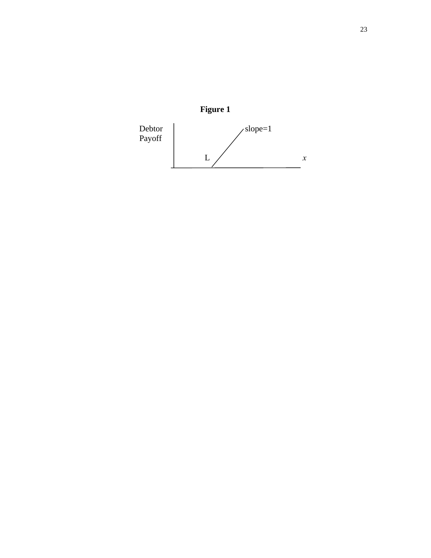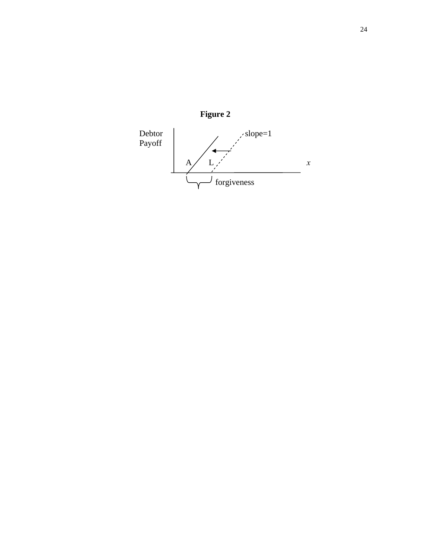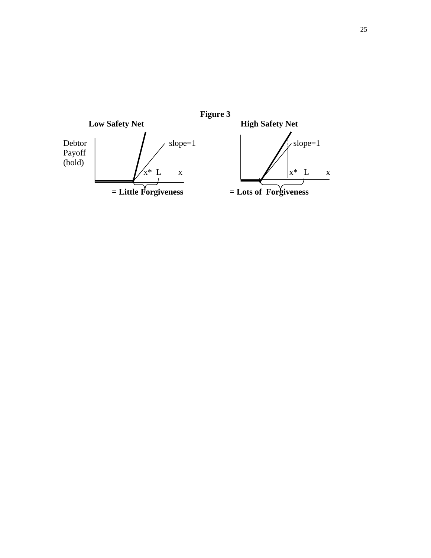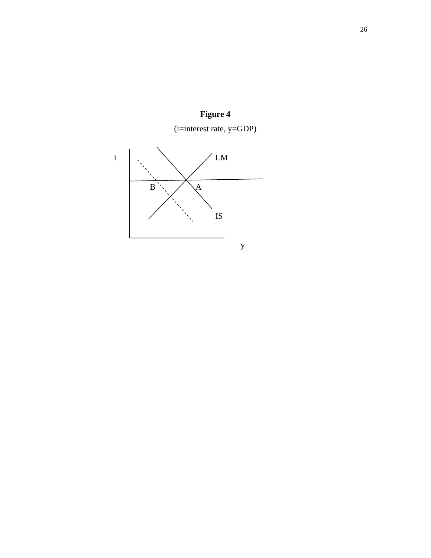



26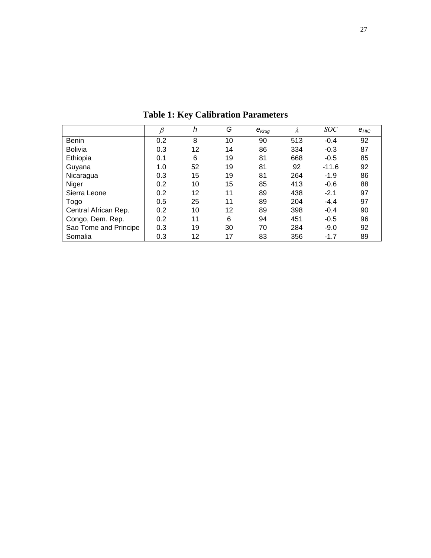|                       | ß   | h  | G  | $e_{Krug}$ | λ   | <i>SOC</i> | $e$ <sub>HIC</sub> |
|-----------------------|-----|----|----|------------|-----|------------|--------------------|
| <b>Benin</b>          | 0.2 | 8  | 10 | 90         | 513 | $-0.4$     | 92                 |
| <b>Bolivia</b>        | 0.3 | 12 | 14 | 86         | 334 | $-0.3$     | 87                 |
| Ethiopia              | 0.1 | 6  | 19 | 81         | 668 | $-0.5$     | 85                 |
| Guyana                | 1.0 | 52 | 19 | 81         | 92  | $-11.6$    | 92                 |
| Nicaragua             | 0.3 | 15 | 19 | 81         | 264 | $-1.9$     | 86                 |
| Niger                 | 0.2 | 10 | 15 | 85         | 413 | $-0.6$     | 88                 |
| Sierra Leone          | 0.2 | 12 | 11 | 89         | 438 | $-2.1$     | 97                 |
| Togo                  | 0.5 | 25 | 11 | 89         | 204 | $-4.4$     | 97                 |
| Central African Rep.  | 0.2 | 10 | 12 | 89         | 398 | $-0.4$     | 90                 |
| Congo, Dem. Rep.      | 0.2 | 11 | 6  | 94         | 451 | $-0.5$     | 96                 |
| Sao Tome and Principe | 0.3 | 19 | 30 | 70         | 284 | $-9.0$     | 92                 |
| Somalia               | 0.3 | 12 | 17 | 83         | 356 | $-1.7$     | 89                 |

**Table 1: Key Calibration Parameters**